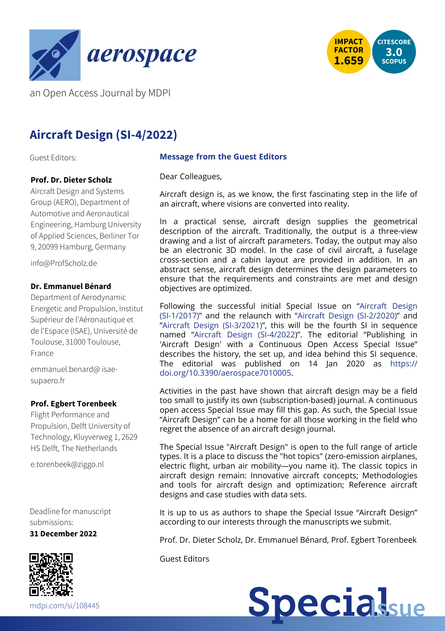



an Open Access Journal by MDPI

# **Aircraft Design (SI-4/2022)**

Guest Editors:

# **Prof. Dr. Dieter Scholz**

Aircraft Design and Systems Group (AERO), Department of Automotive and Aeronautical Engineering, Hamburg University of Applied Sciences, Berliner Tor 9, 20099 Hamburg, Germany

[info@ProfScholz.de](mailto:info@ProfScholz.de)

### **Dr. Emmanuel Bénard**

Department of Aerodynamic Energetic and Propulsion, Institut Supérieur de l'Aéronautique et de l'Espace (ISAE), Université de Toulouse, 31000 Toulouse, France

[emmanuel.benard@ isae](mailto:emmanuel.benard@isae-supaero.fr)supaero.fr

# **Prof. Egbert Torenbeek**

Flight Performance and Propulsion, Delft University of Technology, Kluyverweg 1, 2629 HS Delft, The Netherlands

[e.torenbeek@ziggo.nl](mailto:e.torenbeek@ziggo.nl)

Deadline for manuscript submissions:

**31 December 2022**



### **Message from the Guest Editors**

Dear Colleagues,

Aircraft design is, as we know, the first fascinating step in the life of an aircraft, where visions are converted into reality.

In a practical sense, aircraft design supplies the geometrical description of the aircraft. Traditionally, the output is a three-view drawing and a list of aircraft parameters. Today, the output may also be an electronic 3D model. In the case of civil aircraft, a fuselage cross-section and a cabin layout are provided in addition. In an abstract sense, aircraft design determines the design parameters to ensure that the requirements and constraints are met and design objectives are optimized.

[Following the successful initial Special Issue on "Aircraft Design](https://www.mdpi.com/journal/aerospace/special_issues/aircraft_design_1_2017) (SI-1/2017)" and the relaunch with "[Aircraft Design \(SI-2/2020\)"](https://www.mdpi.com/journal/aerospace/special_issues/Aircraft_Design_2_2020) and ["Aircraft Design \(SI-3/2021\)"](https://www.mdpi.com/journal/aerospace/special_issues/Aircraft_Design_3_2021), this will be the fourth SI in sequence named ["Aircraft Design \(SI-4/2022\)](https://www.mdpi.com/journal/aerospace/special_issues/Aircraft_Design)". The editorial "Publishing in 'Aircraft Design' with a Continuous Open Access Special Issue" describes the history, the set up, and idea behind this SI sequence. [The editorial was published on 14 Jan 2020 as https://](https://doi.org/10.3390/aerospace7010005) doi.org/10.3390/aerospace7010005.

Activities in the past have shown that aircraft design may be a field too small to justify its own (subscription-based) journal. A continuous open access Special Issue may fill this gap. As such, the Special Issue "Aircraft Design" can be a home for all those working in the field who regret the absence of an aircraft design journal.

The Special Issue "Aircraft Design" is open to the full range of article types. It is a place to discuss the "hot topics" (zero-emission airplanes, electric flight, urban air mobility—you name it). The classic topics in aircraft design remain: Innovative aircraft concepts; Methodologies and tools for aircraft design and optimization; Reference aircraft designs and case studies with data sets.

It is up to us as authors to shape the Special Issue "Aircraft Design" according to our interests through the manuscripts we submit.

Prof. Dr. Dieter Scholz, Dr. Emmanuel Bénard, Prof. Egbert Torenbeek

Guest Editors